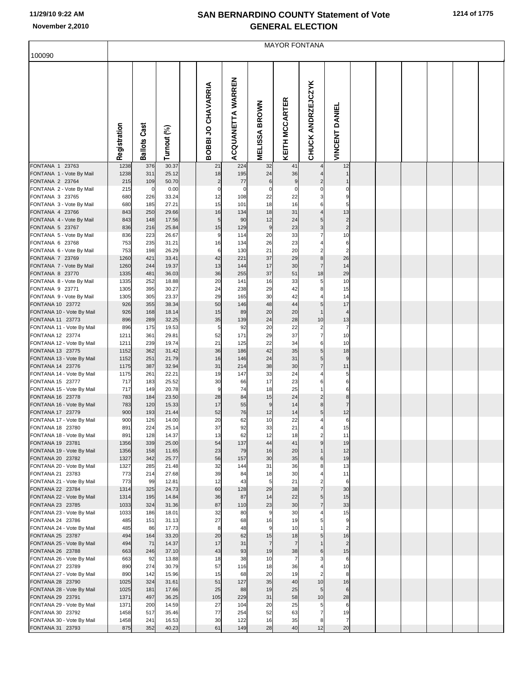| 1214 of 1775 |  |  |
|--------------|--|--|
|--------------|--|--|

|                                               | <b>MAYOR FONTANA</b> |                 |                |  |                      |                   |                                |                       |                                  |                       |  |  |  |  |  |
|-----------------------------------------------|----------------------|-----------------|----------------|--|----------------------|-------------------|--------------------------------|-----------------------|----------------------------------|-----------------------|--|--|--|--|--|
| 100090                                        |                      |                 |                |  |                      |                   |                                |                       |                                  |                       |  |  |  |  |  |
|                                               | Registration         | Cast<br>Ballots | Turnout (%)    |  | BOBBI JO CHAVARRIA   | ACQUANETTA WARREN | <b>BROWN</b><br><b>MELISSA</b> | <b>KEITH MCCARTER</b> | <b>CHUCK ANDRZEJCZYK</b>         | <b>VINCENT DANIEL</b> |  |  |  |  |  |
| FONTANA 1 23763                               | 1238                 | 376             | 30.37          |  | 21                   | 224               | 32                             | 41                    |                                  | 12                    |  |  |  |  |  |
| FONTANA 1 - Vote By Mail<br>FONTANA 2 23764   | 1238<br>215          | 311<br>109      | 25.12<br>50.70 |  | 18<br>$\overline{c}$ | 195<br>77         | 24<br>$\,6$                    | 36<br>9               | $\overline{2}$                   | $\mathbf 1$           |  |  |  |  |  |
| FONTANA 2 - Vote By Mail                      | 215                  | $\mathbf 0$     | 0.00           |  | $\pmb{0}$            | $\mathbf 0$       | $\pmb{0}$                      | $\mathbf 0$           | $\mathbf 0$                      | C                     |  |  |  |  |  |
| FONTANA 3 23765                               | 680                  | 226             | 33.24          |  | 12                   | 108               | 22                             | 22                    | 3                                | g                     |  |  |  |  |  |
| FONTANA 3 - Vote By Mail<br>FONTANA 4 23766   | 680<br>843           | 185<br>250      | 27.21<br>29.66 |  | 15<br>16             | 101<br>134        | 18<br>18                       | 16<br>31              | 6<br>$\overline{4}$              | 5<br>13               |  |  |  |  |  |
| FONTANA 4 - Vote By Mail                      | 843                  | 148             | 17.56          |  | 5                    | 90                | 12                             | 24                    | 5                                | $\overline{a}$        |  |  |  |  |  |
| FONTANA 5 23767                               | 836                  | 216             | 25.84          |  | 15                   | 129               | $\boldsymbol{9}$               | 23                    | 3                                | $\overline{c}$        |  |  |  |  |  |
| FONTANA 5 - Vote By Mail                      | 836                  | 223             | 26.67          |  | 9                    | 114               | 20                             | 33                    | $\overline{7}$                   | 10                    |  |  |  |  |  |
| FONTANA 6 23768                               | 753<br>753           | 235             | 31.21          |  | 16<br>6              | 134               | 26<br>21                       | 23                    | 4<br>$\overline{2}$              | 6<br>$\overline{2}$   |  |  |  |  |  |
| FONTANA 6 - Vote By Mail<br>FONTANA 7 23769   | 1260                 | 198<br>421      | 26.29<br>33.41 |  | 42                   | 130<br>221        | 37                             | 20<br>29              | 8                                | 26                    |  |  |  |  |  |
| FONTANA 7 - Vote By Mail                      | 1260                 | 244             | 19.37          |  | 13                   | 144               | 17                             | 30                    | $\overline{7}$                   | 14                    |  |  |  |  |  |
| FONTANA 8 23770                               | 1335                 | 481             | 36.03          |  | 36                   | 255               | 37                             | 51                    | 18                               | 29                    |  |  |  |  |  |
| FONTANA 8 - Vote By Mail                      | 1335                 | 252             | 18.88          |  | 20<br>24             | 141               | 16<br>29                       | 33<br>42              | 5<br>8                           | 10                    |  |  |  |  |  |
| FONTANA 9 23771<br>FONTANA 9 - Vote By Mail   | 1305<br>1305         | 395<br>305      | 30.27<br>23.37 |  | 29                   | 238<br>165        | 30                             | 42                    | 4                                | 15<br>14              |  |  |  |  |  |
| FONTANA 10 23772                              | 926                  | 355             | 38.34          |  | 50                   | 146               | 48                             | 44                    | 5                                | 17                    |  |  |  |  |  |
| FONTANA 10 - Vote By Mail                     | 926                  | 168             | 18.14          |  | 15                   | 89                | 20                             | 20                    | $\overline{1}$                   | $\overline{4}$        |  |  |  |  |  |
| FONTANA 11 23773<br>FONTANA 11 - Vote By Mail | 896<br>896           | 289<br>175      | 32.25<br>19.53 |  | 35<br>5              | 139<br>92         | 24<br>20                       | 28<br>22              | 10<br>$\overline{\mathbf{c}}$    | 13<br>$\overline{7}$  |  |  |  |  |  |
| FONTANA 12 23774                              | 1211                 | 361             | 29.81          |  | 52                   | 171               | 29                             | 37                    | $\overline{7}$                   | 10                    |  |  |  |  |  |
| FONTANA 12 - Vote By Mail                     | 1211                 | 239             | 19.74          |  | 21                   | 125               | 22                             | 34                    | 6                                | 10                    |  |  |  |  |  |
| FONTANA 13 23775                              | 1152                 | 362             | 31.42          |  | 36                   | 186               | 42                             | 35                    | 5                                | 18                    |  |  |  |  |  |
| FONTANA 13 - Vote By Mail<br>FONTANA 14 23776 | 1152<br>1175         | 251<br>387      | 21.79<br>32.94 |  | 16<br>31             | 146<br>214        | 24<br>38                       | 31<br>30              | 5<br>$\overline{7}$              | 9<br>11               |  |  |  |  |  |
| FONTANA 14 - Vote By Mail                     | 1175                 | 261             | 22.21          |  | 19                   | 147               | 33                             | 24                    | 4                                | 5                     |  |  |  |  |  |
| FONTANA 15 23777                              | 717                  | 183             | 25.52          |  | 30                   | 66                | 17                             | 23                    | 6                                | 6                     |  |  |  |  |  |
| FONTANA 15 - Vote By Mail<br>FONTANA 16 23778 | 717                  | 149             | 20.78          |  | 9<br>28              | 74<br>84          | 18<br>15                       | 25<br>24              | $\overline{1}$<br>$\overline{2}$ | 6<br>8                |  |  |  |  |  |
| FONTANA 16 - Vote By Mail                     | 783<br>783           | 184<br>120      | 23.50<br>15.33 |  | 17                   | 55                | 9                              | 14                    | 8                                | $\overline{7}$        |  |  |  |  |  |
| FONTANA 17 23779                              | 900                  | 193             | 21.44          |  | 52                   | 76                | 12                             | 14                    | 5                                | 12                    |  |  |  |  |  |
| FONTANA 17 - Vote By Mail                     | 900                  | 126             | 14.00          |  | 20                   | 62                | 10                             | 22                    | 4                                | 6                     |  |  |  |  |  |
| FONTANA 18 23780<br>FONTANA 18 - Vote By Mail | 891<br>891           | 224<br>128      | 25.14<br>14.37 |  | 37<br>13             | 92<br>62          | 33<br>12                       | 21<br>18              | 4<br>$\overline{2}$              | 15<br>11              |  |  |  |  |  |
| FONTANA 19 23781                              | 1356                 | 339             | 25.00          |  | 54                   | 137               | 44                             | 41                    | 9                                | 19                    |  |  |  |  |  |
| FONTANA 19 - Vote By Mail                     | 1356                 | 158             | 11.65          |  | 23                   | 79                | 16                             | 20                    | $\mathbf{1}$                     | 12                    |  |  |  |  |  |
| FONTANA 20 23782                              | 1327                 | 342             | 25.77          |  | 56<br>32             | 157               | 30<br>31                       | 35                    | 6                                | 19                    |  |  |  |  |  |
| FONTANA 20 - Vote By Mail<br>FONTANA 21 23783 | 1327<br>773          | 285<br>214      | 21.48<br>27.68 |  | 39                   | 144<br>84         | 18                             | 36<br>30              | 8<br>4                           | 13<br>11              |  |  |  |  |  |
| FONTANA 21 - Vote By Mail                     | 773                  | 99              | 12.81          |  | 12                   | 43                | 5                              | 21                    | $\overline{2}$                   | 6                     |  |  |  |  |  |
| FONTANA 22 23784                              | 1314                 | 325             | 24.73          |  | 60                   | 128               | 29                             | 38                    | $\overline{7}$                   | 30                    |  |  |  |  |  |
| FONTANA 22 - Vote By Mail<br>FONTANA 23 23785 | 1314<br>1033         | 195<br>324      | 14.84<br>31.36 |  | 36<br>87             | 87<br>110         | 14<br>23                       | 22<br>30              | $\sqrt{5}$<br>$\overline{7}$     | 15<br>33              |  |  |  |  |  |
| FONTANA 23 - Vote By Mail                     | 1033                 | 186             | 18.01          |  | 32                   | 80                | 9                              | 30                    | 4                                | 15                    |  |  |  |  |  |
| FONTANA 24 23786                              | 485                  | 151             | 31.13          |  | 27                   | 68                | 16                             | 19                    | 5                                | 9                     |  |  |  |  |  |
| FONTANA 24 - Vote By Mail                     | 485                  | 86              | 17.73          |  | 8<br>20              | 48<br>62          | 9<br>15                        | 10                    | $\overline{1}$<br>5              | $\overline{2}$        |  |  |  |  |  |
| FONTANA 25 23787<br>FONTANA 25 - Vote By Mail | 494<br>494           | 164<br>71       | 33.20<br>14.37 |  | 17                   | 31                | $\overline{7}$                 | 18<br>$\overline{7}$  | $\overline{1}$                   | 16<br>$\overline{2}$  |  |  |  |  |  |
| FONTANA 26 23788                              | 663                  | 246             | 37.10          |  | 43                   | 93                | 19                             | 38                    | 6                                | 15                    |  |  |  |  |  |
| FONTANA 26 - Vote By Mail                     | 663                  | 92              | 13.88          |  | 18                   | 38                | 10                             | $\overline{7}$        | 3                                | 6                     |  |  |  |  |  |
| FONTANA 27 23789<br>FONTANA 27 - Vote By Mail | 890<br>890           | 274<br>142      | 30.79<br>15.96 |  | 57<br>15             | 116<br>68         | 18<br>20                       | 36<br>19              | 4<br>$\overline{2}$              | 10<br>8               |  |  |  |  |  |
| FONTANA 28 23790                              | 1025                 | 324             | 31.61          |  | 51                   | 127               | 35                             | 40                    | 10                               | 16                    |  |  |  |  |  |
| FONTANA 28 - Vote By Mail                     | 1025                 | 181             | 17.66          |  | 25                   | 88                | 19                             | 25                    | 5                                | 6                     |  |  |  |  |  |
| FONTANA 29 23791                              | 1371                 | 497             | 36.25          |  | 105                  | 229               | 31                             | 58                    | 10                               | 28                    |  |  |  |  |  |
| FONTANA 29 - Vote By Mail<br>FONTANA 30 23792 | 1371<br>1458         | 200<br>517      | 14.59<br>35.46 |  | 27<br>77             | 104<br>254        | 20<br>52                       | 25<br>63              | 5<br>$\overline{7}$              | 6<br>19               |  |  |  |  |  |
| FONTANA 30 - Vote By Mail                     | 1458                 | 241             | 16.53          |  | 30                   | 122               | 16                             | 35                    | 8                                | 7                     |  |  |  |  |  |
| FONTANA 31 23793                              | 875                  | 352             | 40.23          |  | 61                   | 149               | 28                             | 40                    | 12                               | 20                    |  |  |  |  |  |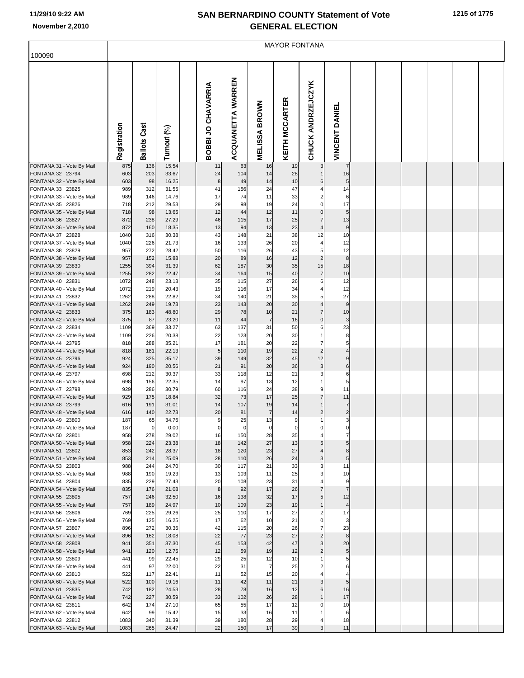|  | 1215 of 1775 |
|--|--------------|
|  |              |

|                                               | <b>MAYOR FONTANA</b> |                     |                |  |                    |                   |                      |                       |                                           |                                         |  |  |  |  |
|-----------------------------------------------|----------------------|---------------------|----------------|--|--------------------|-------------------|----------------------|-----------------------|-------------------------------------------|-----------------------------------------|--|--|--|--|
| 100090                                        |                      |                     |                |  |                    |                   |                      |                       |                                           |                                         |  |  |  |  |
|                                               | Registration         | <b>Ballots Cast</b> | Turnout (%)    |  | BOBBI JO CHAVARRIA | ACQUANETTA WARREN | <b>MELISSA BROWN</b> | <b>KEITH MCCARTER</b> | <b>CHUCK ANDRZEJCZYK</b>                  | <b>VINCENT DANIEL</b>                   |  |  |  |  |
| FONTANA 31 - Vote By Mail                     | 875                  | 136                 | 15.54          |  | 11                 | 63                | 16                   | 19                    | 3                                         | $\overline{7}$                          |  |  |  |  |
| FONTANA 32 23794<br>FONTANA 32 - Vote By Mail | 603<br>603           | 203<br>98           | 33.67<br>16.25 |  | 24<br>8            | 104<br>49         | 14<br>14             | 28<br>10              | 6                                         | 16<br>5                                 |  |  |  |  |
| FONTANA 33 23825                              | 989                  | 312                 | 31.55          |  | 41                 | 156               | 24                   | 47                    | 4                                         | 14                                      |  |  |  |  |
| FONTANA 33 - Vote By Mail                     | 989                  | 146                 | 14.76          |  | 17                 | 74                | 11                   | 33                    | $\overline{c}$                            | 6                                       |  |  |  |  |
| FONTANA 35 23826<br>FONTANA 35 - Vote By Mail | 718<br>718           | 212<br>98           | 29.53<br>13.65 |  | 29<br>12           | 98<br>44          | 19<br>12             | 24<br>11              | $\mathbf{0}$<br>$\overline{0}$            | 17<br>5                                 |  |  |  |  |
| FONTANA 36 23827                              | 872                  | 238                 | 27.29          |  | 46                 | 115               | 17                   | 25                    | $\overline{7}$                            | 13                                      |  |  |  |  |
| FONTANA 36 - Vote By Mail                     | 872                  | 160                 | 18.35          |  | 13                 | 94                | 13                   | 23                    | $\overline{4}$                            | 9                                       |  |  |  |  |
| FONTANA 37 23828                              | 1040                 | 316                 | 30.38          |  | 43                 | 148               | 21                   | 38                    | 12                                        | 10                                      |  |  |  |  |
| FONTANA 37 - Vote By Mail<br>FONTANA 38 23829 | 1040<br>957          | 226<br>272          | 21.73<br>28.42 |  | 16<br>50           | 133<br>116        | 26<br>26             | 20<br>43              | 5 <sub>1</sub>                            | 12<br>12                                |  |  |  |  |
| FONTANA 38 - Vote By Mail                     | 957                  | 152                 | 15.88          |  | 20                 | 89                | 16                   | 12                    | $\overline{2}$                            | 8 <sup>8</sup>                          |  |  |  |  |
| FONTANA 39 23830                              | 1255                 | 394                 | 31.39          |  | 62                 | 187               | 30                   | 35                    | 15                                        | 18                                      |  |  |  |  |
| FONTANA 39 - Vote By Mail<br>FONTANA 40 23831 | 1255<br>1072         | 282<br>248          | 22.47<br>23.13 |  | 34<br>35           | 164<br>115        | 15<br>27             | 40<br>26              | $\overline{7}$<br>6                       | 10<br>12                                |  |  |  |  |
| FONTANA 40 - Vote By Mail                     | 1072                 | 219                 | 20.43          |  | 19                 | 116               | 17                   | 34                    |                                           | 12                                      |  |  |  |  |
| FONTANA 41 23832                              | 1262                 | 288                 | 22.82          |  | 34                 | 140               | 21                   | 35                    | 5 <sup>1</sup>                            | 27                                      |  |  |  |  |
| FONTANA 41 - Vote By Mail                     | 1262                 | 249                 | 19.73          |  | 23                 | 143               | 20                   | 30                    | $\overline{4}$                            | 9                                       |  |  |  |  |
| FONTANA 42 23833<br>FONTANA 42 - Vote By Mail | 375<br>375           | 183<br>87           | 48.80<br>23.20 |  | 29<br>11           | 78<br>44          | 10<br>$\overline{7}$ | 21<br>16              | $\overline{7}$<br>$\overline{0}$          | 10<br>3                                 |  |  |  |  |
| FONTANA 43 23834                              | 1109                 | 369                 | 33.27          |  | 63                 | 137               | 31                   | 50                    | 6                                         | 23                                      |  |  |  |  |
| FONTANA 43 - Vote By Mail                     | 1109                 | 226                 | 20.38          |  | 22                 | 123               | 20                   | 30                    |                                           | 8                                       |  |  |  |  |
| FONTANA 44 23795<br>FONTANA 44 - Vote By Mail | 818<br>818           | 288<br>181          | 35.21<br>22.13 |  | 17<br>5            | 181<br>110        | 20<br>19             | 22<br>22              | 7<br>$\overline{2}$                       | 5<br>$\overline{4}$                     |  |  |  |  |
| FONTANA 45 23796                              | 924                  | 325                 | 35.17          |  | 39                 | 149               | 32                   | 45                    | 12                                        | 9                                       |  |  |  |  |
| FONTANA 45 - Vote By Mail                     | 924                  | 190                 | 20.56          |  | 21                 | 91                | 20                   | 36                    | $\overline{3}$                            | 6                                       |  |  |  |  |
| FONTANA 46 23797                              | 698                  | 212                 | 30.37          |  | 33                 | 118               | 12                   | 21                    | 3                                         | 6                                       |  |  |  |  |
| FONTANA 46 - Vote By Mail<br>FONTANA 47 23798 | 698<br>929           | 156<br>286          | 22.35<br>30.79 |  | 14<br>60           | 97<br>116         | 13<br>24             | 12<br>38              | 9                                         | 5<br>11                                 |  |  |  |  |
| FONTANA 47 - Vote By Mail                     | 929                  | 175                 | 18.84          |  | 32                 | 73                | 17                   | 25                    | $\overline{7}$                            | 11                                      |  |  |  |  |
| FONTANA 48 23799                              | 616                  | 191                 | 31.01          |  | 14                 | 107               | 19                   | 14                    |                                           | $\overline{7}$                          |  |  |  |  |
| FONTANA 48 - Vote By Mail<br>FONTANA 49 23800 | 616<br>187           | 140<br>65           | 22.73<br>34.76 |  | 20<br>9            | 81<br>25          | $\overline{7}$<br>13 | 14<br>9               | $\mathbf{2}$<br>$\mathbf{1}$              | $\mathbf{2}$<br>$\overline{\mathbf{3}}$ |  |  |  |  |
| FONTANA 49 - Vote By Mail                     | 187                  | $\mathbf 0$         | 0.00           |  | 0                  | $\mathbf 0$       | $\mathbf 0$          | $\mathbf 0$           | 0                                         |                                         |  |  |  |  |
| FONTANA 50 23801                              | 958                  | 278                 | 29.02          |  | 16                 | 150               | 28                   | 35                    |                                           | $\overline{7}$                          |  |  |  |  |
| FONTANA 50 - Vote By Mail<br>FONTANA 51 23802 | 958<br>853           | 224<br>242          | 23.38<br>28.37 |  | 18<br>18           | 142<br>120        | 27<br>23             | 13<br>27              | 5 <sub>l</sub><br>$\overline{4}$          | 5<br>8 <sup>1</sup>                     |  |  |  |  |
| FONTANA 51 - Vote By Mail                     | 853                  | 214                 | 25.09          |  | 28                 | 110               | 26                   | 24                    | $\overline{\mathbf{3}}$                   | 5 <sub>5</sub>                          |  |  |  |  |
| FONTANA 53 23803                              | 988                  | 244                 | 24.70          |  | 30                 | 117               | 21                   | 33                    | $\overline{\mathbf{3}}$                   | 11                                      |  |  |  |  |
| FONTANA 53 - Vote By Mail<br>FONTANA 54 23804 | 988<br>835           | 190<br>229          | 19.23<br>27.43 |  | 13<br>20           | 103<br>108        | 11<br>23             | 25<br>31              | 3                                         | 10<br>9                                 |  |  |  |  |
| FONTANA 54 - Vote By Mail                     | 835                  | 176                 | 21.08          |  | 8                  | 92                | 17                   | 26                    | $\overline{7}$                            | $\overline{7}$                          |  |  |  |  |
| FONTANA 55 23805                              | 757                  | 246                 | 32.50          |  | 16                 | 138               | 32                   | 17                    | 5 <sub>l</sub>                            | 12                                      |  |  |  |  |
| FONTANA 55 - Vote By Mail<br>FONTANA 56 23806 | 757                  | 189<br>225          | 24.97          |  | 10<br>25           | 109<br>110        | 23<br>17             | 19<br>27              | $\mathbf{1}$                              | 4<br>17                                 |  |  |  |  |
| FONTANA 56 - Vote By Mail                     | 769<br>769           | 125                 | 29.26<br>16.25 |  | 17                 | 62                | 10                   | 21                    | $\overline{c}$<br>0                       | 3                                       |  |  |  |  |
| FONTANA 57 23807                              | 896                  | 272                 | 30.36          |  | 42                 | 115               | 20                   | 26                    | $\overline{7}$                            | 23                                      |  |  |  |  |
| FONTANA 57 - Vote By Mail                     | 896                  | 162                 | 18.08          |  | 22                 | 77                | 23                   | 27                    | $\overline{2}$                            | 8 <sup>8</sup>                          |  |  |  |  |
| FONTANA 58 23808<br>FONTANA 58 - Vote By Mail | 941<br>941           | 351<br>120          | 37.30<br>12.75 |  | 45<br>12           | 153<br>59         | 42<br>19             | 47<br>12              | $\overline{\mathbf{3}}$<br>$\overline{2}$ | 20<br>5 <sub>5</sub>                    |  |  |  |  |
| FONTANA 59 23809                              | 441                  | 99                  | 22.45          |  | 29                 | 25                | 12                   | 10                    |                                           | 5                                       |  |  |  |  |
| FONTANA 59 - Vote By Mail                     | 441                  | 97                  | 22.00          |  | 22                 | 31                | 7                    | 25                    |                                           | 6                                       |  |  |  |  |
| FONTANA 60 23810                              | 522<br>522           | 117<br>100          | 22.41<br>19.16 |  | 11<br>11           | 52<br>42          | 15<br>11             | 20<br>21              | $\overline{\mathbf{3}}$                   | 5 <sub>l</sub>                          |  |  |  |  |
| FONTANA 60 - Vote By Mail<br>FONTANA 61 23835 | 742                  | 182                 | 24.53          |  | 28                 | 78                | 16                   | 12                    | 6                                         | 16                                      |  |  |  |  |
| FONTANA 61 - Vote By Mail                     | 742                  | 227                 | 30.59          |  | 33                 | 102               | 26                   | 28                    | $\mathbf{1}$                              | 17                                      |  |  |  |  |
| FONTANA 62 23811                              | 642                  | 174                 | 27.10          |  | 65                 | 55                | 17                   | 12                    | $\Omega$                                  | 10                                      |  |  |  |  |
| FONTANA 62 - Vote By Mail<br>FONTANA 63 23812 | 642<br>1083          | 99<br>340           | 15.42<br>31.39 |  | 15<br>39           | 33<br>180         | 16<br>28             | 11<br>29              |                                           | 6<br>18                                 |  |  |  |  |
| FONTANA 63 - Vote By Mail                     | 1083                 | 265                 | 24.47          |  | 22                 | 150               | 17                   | 39                    | $\overline{\mathbf{3}}$                   | 11                                      |  |  |  |  |
|                                               |                      |                     |                |  |                    |                   |                      |                       |                                           |                                         |  |  |  |  |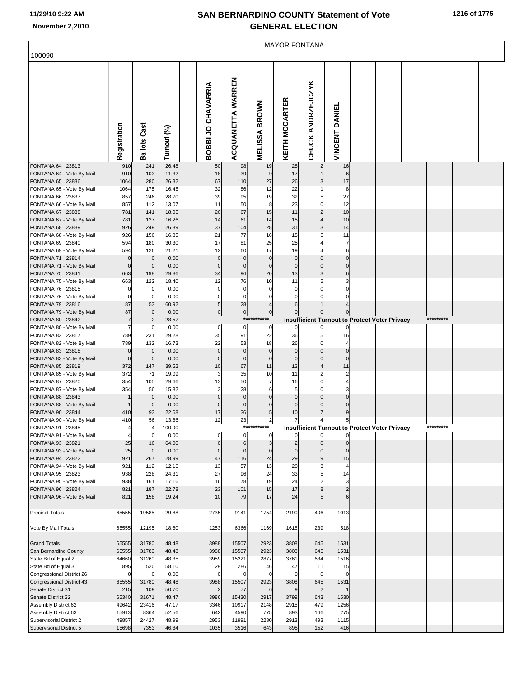|  | 1216 of 1775 |  |
|--|--------------|--|
|  |              |  |

|                                                      | <b>MAYOR FONTANA</b> |                          |                |                    |                    |                   |                      |                      |                                                                       |                            |  |  |  |           |  |
|------------------------------------------------------|----------------------|--------------------------|----------------|--------------------|--------------------|-------------------|----------------------|----------------------|-----------------------------------------------------------------------|----------------------------|--|--|--|-----------|--|
| 100090                                               |                      |                          |                |                    |                    |                   |                      |                      |                                                                       |                            |  |  |  |           |  |
|                                                      | Registration         | <b>Ballots Cast</b>      | Turnout (%)    | BOBBI JO CHAVARRIA |                    | ACQUANETTA WARREN | <b>MELISSA BROWN</b> | KEITH MCCARTER       | CHUCK ANDRZEJCZYK                                                     | <b>VINCENT DANIEL</b>      |  |  |  |           |  |
| FONTANA 64 23813                                     | 910                  | 241                      | 26.48          |                    | 50                 | 98                | 19                   | 28                   | $\overline{2}$                                                        | 16                         |  |  |  |           |  |
| FONTANA 64 - Vote By Mail<br>FONTANA 65 23836        | 910<br>1064          | 103<br>280               | 11.32<br>26.32 |                    | 18<br>67           | 39<br>110         | 9<br>27              | 17<br>26             | $\overline{\mathbf{3}}$                                               | 6<br>17                    |  |  |  |           |  |
| FONTANA 65 - Vote By Mail                            | 1064                 | 175                      | 16.45          |                    | 32                 | 86                | 12                   | 22                   | 11                                                                    | 8                          |  |  |  |           |  |
| FONTANA 66 23837                                     | 857                  | 246                      | 28.70          |                    | 39                 | 95                | 19                   | 32                   | 5 <sup>1</sup>                                                        | 27                         |  |  |  |           |  |
| FONTANA 66 - Vote By Mail<br>FONTANA 67 23838        | 857<br>781           | 112<br>141               | 13.07<br>18.05 |                    | 11<br>26           | 50<br>67          | 8<br>15              | 23<br>11             | οI<br>$\overline{2}$                                                  | 12<br>10                   |  |  |  |           |  |
| FONTANA 67 - Vote By Mail                            | 781                  | 127                      | 16.26          |                    | 14                 | 61                | 14                   | 15                   | $\overline{4}$                                                        | 10                         |  |  |  |           |  |
| FONTANA 68 23839                                     | 926                  | 249                      | 26.89          |                    | 37                 | 104               | 28                   | 31                   | $\overline{\mathbf{3}}$                                               | 14                         |  |  |  |           |  |
| FONTANA 68 - Vote By Mail                            | 926                  | 156                      | 16.85          |                    | 21                 | 77                | 16                   | 15                   | 5                                                                     | 11                         |  |  |  |           |  |
| FONTANA 69 23840                                     | 594                  | 180                      | 30.30          |                    | 17                 | 81                | 25                   | 25                   | 4                                                                     | 7                          |  |  |  |           |  |
| FONTANA 69 - Vote By Mail<br>FONTANA 71 23814        | 594<br>$\mathbf 0$   | 126<br>$\pmb{0}$         | 21.21<br>0.00  |                    | 12<br>$\mathbf{0}$ | 60<br>$\mathbf 0$ | 17<br>$\mathbf 0$    | 19<br>$\mathbf 0$    | 4<br>$\Omega$                                                         | $6 \mid$<br>$\overline{0}$ |  |  |  |           |  |
| FONTANA 71 - Vote By Mail                            | $\mathbf 0$          | $\mathbf 0$              | 0.00           |                    | $\Omega$           | $\Omega$          | $\mathbf{0}$         | $\mathbf{0}$         | $\mathbf 0$                                                           | $\mathbf 0$                |  |  |  |           |  |
| FONTANA 75 23841                                     | 663                  | 198                      | 29.86          |                    | 34                 | 96                | 20                   | 13                   | $\overline{\mathbf{3}}$                                               | 6                          |  |  |  |           |  |
| FONTANA 75 - Vote By Mail                            | 663                  | 122                      | 18.40          |                    | 12                 | 76                | 10                   | 11                   | 5                                                                     | 3                          |  |  |  |           |  |
| FONTANA 76 23815                                     | 0<br>$\mathbf 0$     | $\pmb{0}$<br>$\mathbf 0$ | 0.00<br>0.00   |                    | $\mathbf 0$<br>0   | $\Omega$<br>O     | 0                    | 0<br>$\Omega$        | $\Omega$<br>0                                                         | $\Omega$<br>n              |  |  |  |           |  |
| FONTANA 76 - Vote By Mail<br>FONTANA 79 23816        | 87                   | 53                       | 60.92          |                    | 5                  | 28                | 4                    | 6                    |                                                                       |                            |  |  |  |           |  |
| FONTANA 79 - Vote By Mail                            | 87                   | $\pmb{0}$                | 0.00           |                    | 이                  | $\overline{0}$    | $\overline{0}$       | $\Omega$             | $\overline{0}$                                                        | $\overline{0}$             |  |  |  |           |  |
| FONTANA 80 23842                                     | $\overline{7}$       | $\overline{2}$           | 28.57          |                    |                    |                   | ***********          |                      | Insufficient Turnout to Protect Voter Privacy                         |                            |  |  |  | ********* |  |
| FONTANA 80 - Vote By Mail                            | 7                    | $\mathbf 0$              | 0.00           |                    | $\overline{0}$     | $\mathbf 0$       | 0                    |                      | 0                                                                     |                            |  |  |  |           |  |
| FONTANA 82 23817<br>FONTANA 82 - Vote By Mail        | 789<br>789           | 231<br>132               | 29.28<br>16.73 |                    | 35<br>22           | 91<br>53          | 22<br>18             | 36<br>26             | 5<br>οI                                                               | 16<br>4                    |  |  |  |           |  |
| FONTANA 83 23818                                     | $\overline{0}$       | $\pmb{0}$                | 0.00           |                    | $\mathbf{0}$       | $\mathbf 0$       | $\mathbf 0$          | $\mathbf 0$          | $\mathbf 0$                                                           | $\mathbf 0$                |  |  |  |           |  |
| FONTANA 83 - Vote By Mail                            | $\mathbf 0$          | $\mathbf 0$              | 0.00           |                    | $\Omega$           | $\Omega$          | $\mathbf{0}$         | $\mathbf{0}$         | $\overline{0}$                                                        | $\Omega$                   |  |  |  |           |  |
| FONTANA 85 23819                                     | 372                  | 147                      | 39.52          |                    | 10                 | 67                | 11                   | 13                   | 4                                                                     | 11                         |  |  |  |           |  |
| FONTANA 85 - Vote By Mail<br>FONTANA 87 23820        | 372<br>354           | 71<br>105                | 19.09<br>29.66 |                    | 3<br>13            | 35<br>50          | 10<br>7              | 11<br>16             | $\overline{2}$<br>$\mathbf{0}$                                        | $\overline{2}$<br>4        |  |  |  |           |  |
| FONTANA 87 - Vote By Mail                            | 354                  | 56                       | 15.82          |                    |                    | 28                | 6                    | 5                    | $\Omega$                                                              | 3                          |  |  |  |           |  |
| FONTANA 88 23843                                     |                      | $\mathbf 0$              | 0.00           |                    | 0                  | $\Omega$          | $\Omega$             | $\mathbf 0$          | $\Omega$                                                              | $\overline{0}$             |  |  |  |           |  |
| FONTANA 88 - Vote By Mail                            |                      | $\mathbf 0$              | 0.00           |                    |                    | 0                 | $\Omega$             | $\Omega$             | $\mathbf 0$                                                           | $\overline{0}$             |  |  |  |           |  |
| FONTANA 90 23844<br>FONTANA 90 - Vote By Mail        | 410<br>410           | 93<br>56                 | 22.68<br>13.66 |                    | 17<br>12           | 36<br>23          | 5 <sub>l</sub><br>2  | 10<br>$\overline{7}$ | $\overline{7}$                                                        | 9<br>$5\overline{)}$       |  |  |  |           |  |
| FONTANA 91 23845                                     | 4                    | $\overline{4}$           | 100.00         |                    |                    |                   | ***********          |                      | $\frac{4}{1}$<br><b>Insufficient Turnout to Protect Voter Privacy</b> |                            |  |  |  | ********* |  |
| FONTANA 91 - Vote By Mail                            |                      | $\Omega$                 | 0.00           |                    |                    | $\mathbf 0$       | $\Omega$             |                      | $\mathbf{0}$                                                          | $\Omega$                   |  |  |  |           |  |
| FONTANA 93 23821                                     | 25                   | 16                       | 64.00          |                    |                    | 6                 | 3                    |                      | $\Omega$                                                              | $\Omega$                   |  |  |  |           |  |
| FONTANA 93 - Vote By Mail<br>FONTANA 94 23822        | 25<br>921            | $\mathbf 0$<br>267       | 0.00<br>28.99  |                    | 0<br>47            | 116               | $\Omega$<br>24       | $\Omega$<br>29       | 0<br>9                                                                | $\Omega$<br>15             |  |  |  |           |  |
| FONTANA 94 - Vote By Mail                            | 921                  | 112                      | 12.16          |                    | 13                 | 57                | 13                   | 20                   | 3                                                                     | 4                          |  |  |  |           |  |
| FONTANA 95 23823                                     | 938                  | 228                      | 24.31          |                    | 27                 | 96                | 24                   | 33                   | 5                                                                     | 14                         |  |  |  |           |  |
| FONTANA 95 - Vote By Mail                            | 938                  | 161                      | 17.16          |                    | 16                 | 78                | 19                   | 24                   | 2                                                                     | 3                          |  |  |  |           |  |
| FONTANA 96 23824<br>FONTANA 96 - Vote By Mail        | 821<br>821           | 187<br>158               | 22.78<br>19.24 |                    | 23<br>10           | 101<br>79         | 15<br>17             | 17<br>24             | 8<br>5 <sub>l</sub>                                                   | $\overline{2}$<br>6        |  |  |  |           |  |
| <b>Precinct Totals</b>                               | 65555                | 19585                    | 29.88          |                    | 2735               | 9141              | 1754                 | 2190                 | 406                                                                   | 1013                       |  |  |  |           |  |
| Vote By Mail Totals                                  | 65555                | 12195                    | 18.60          |                    | 1253               | 6366              | 1169                 | 1618                 | 239                                                                   | 518                        |  |  |  |           |  |
| <b>Grand Totals</b>                                  | 65555                | 31780                    | 48.48          |                    | 3988               | 15507             | 2923                 | 3808                 | 645                                                                   | 1531                       |  |  |  |           |  |
| San Bernardino County                                | 65555                | 31780                    | 48.48          |                    | 3988               | 15507             | 2923                 | 3808                 | 645                                                                   | 1531                       |  |  |  |           |  |
| State Bd of Equal 2                                  | 64660                | 31260                    | 48.35          |                    | 3959               | 15221             | 2877                 | 3761                 | 634                                                                   | 1516                       |  |  |  |           |  |
| State Bd of Equal 3                                  | 895                  | 520                      | 58.10          |                    | 29                 | 286               | 46                   | 47                   | 11                                                                    | 15                         |  |  |  |           |  |
| Congressional District 26                            |                      | $\mathbf 0$              | 0.00<br>48.48  |                    |                    |                   | 2923                 |                      | $\mathbf 0$                                                           | 1531                       |  |  |  |           |  |
| Congressional District 43<br>Senate District 31      | 65555<br>215         | 31780<br>109             | 50.70          |                    | 3988               | 15507<br>77       |                      | 3808                 | 645<br>$\overline{2}$                                                 |                            |  |  |  |           |  |
| Senate District 32                                   | 65340                | 31671                    | 48.47          |                    | 3986               | 15430             | 2917                 | 3799                 | 643                                                                   | 1530                       |  |  |  |           |  |
| Assembly District 62                                 | 49642                | 23416                    | 47.17          |                    | 3346               | 10917             | 2148                 | 2915                 | 479                                                                   | 1256                       |  |  |  |           |  |
| Assembly District 63                                 | 15913                | 8364                     | 52.56          |                    | 642                | 4590              | 775                  | 893                  | 166                                                                   | 275                        |  |  |  |           |  |
| Supervisorial District 2<br>Supervisorial District 5 | 49857<br>15698       | 24427<br>7353            | 48.99<br>46.84 |                    | 2953<br>1035       | 11991<br>3516     | 2280<br>643          | 2913<br>895          | 493<br>152                                                            | 1115<br>416                |  |  |  |           |  |
|                                                      |                      |                          |                |                    |                    |                   |                      |                      |                                                                       |                            |  |  |  |           |  |